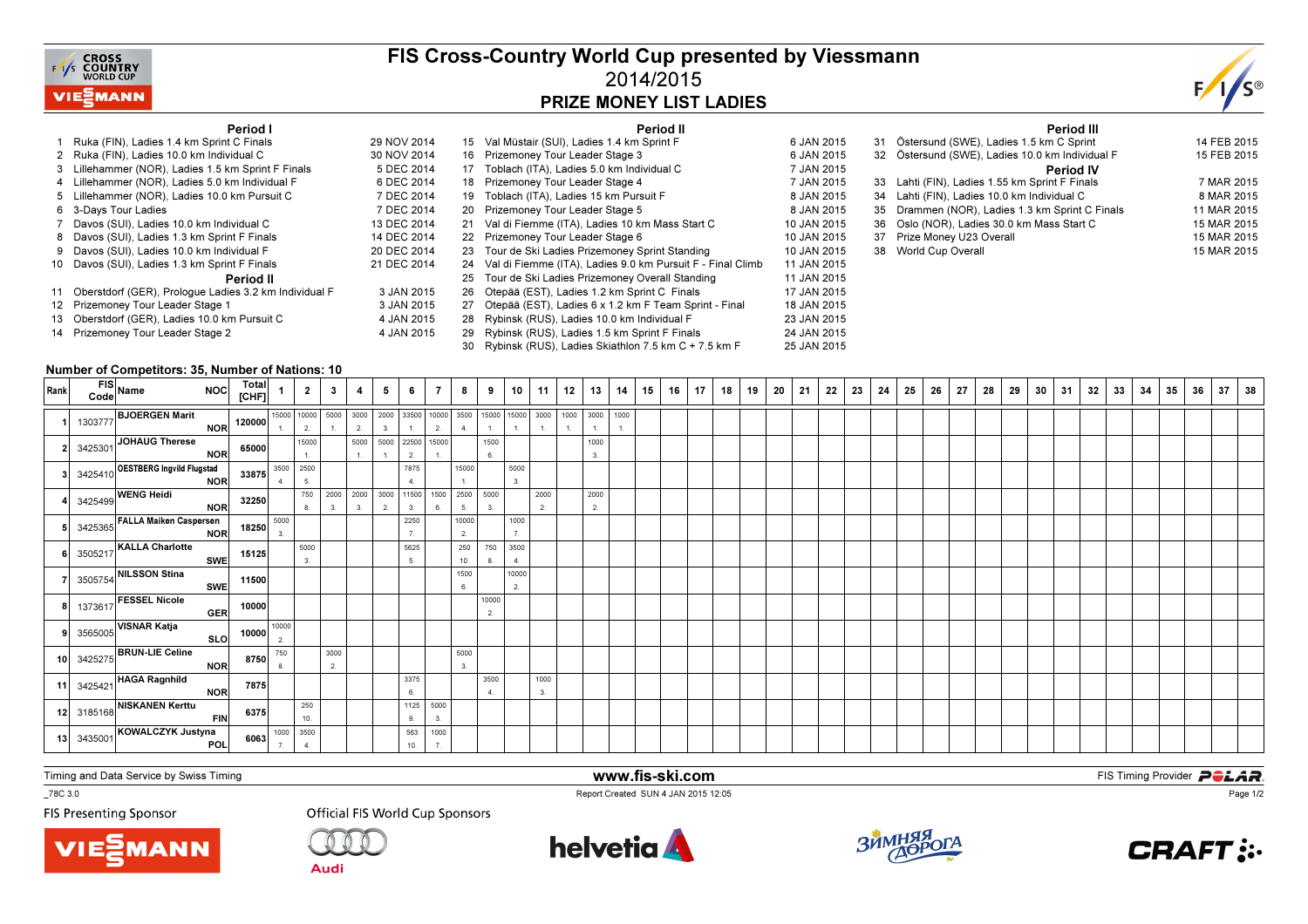

### FIS Cross-Country World Cup presented by Viessmann2014/2015PRIZE MONEY LIST LADIES



15 FEB 2015

8 MAR 2015

11 MAR 2015

15 MAR 2015

Period III<sup>31</sup> Östersund (SWE), Ladies 1.5 km C Sprint 14 FEB 2015

Period IV33 Lahti (FIN), Ladies 1.55 km Sprint F Finals 7 MAR 2015

15 MAR 2015

15 MAR 2015

32 Östersund (SWE), Ladies 10.0 km Individual F

35 Drammen (NOR), Ladies 1.3 km Sprint C Finals

34 Lahti (FIN), Ladies 10.0 km Individual C

37 Prize Money U23 Overall

38 World Cup Overall

36 Oslo (NOR), Ladies 30.0 km Mass Start C

#### Period I

| Period I                                                 |             |    | Period II                                                  |             |
|----------------------------------------------------------|-------------|----|------------------------------------------------------------|-------------|
| 1 Ruka (FIN), Ladies 1.4 km Sprint C Finals              | 29 NOV 2014 | 15 | Val Müstair (SUI), Ladies 1.4 km Sprint F                  | 6 JAN 2015  |
| 2 Ruka (FIN), Ladies 10.0 km Individual C                | 30 NOV 2014 | 16 | Prizemoney Tour Leader Stage 3                             | 6 JAN 2015  |
| 3 Lillehammer (NOR), Ladies 1.5 km Sprint F Finals       | 5 DEC 2014  | 17 | Toblach (ITA), Ladies 5.0 km Individual C                  | 7 JAN 2015  |
| 4 Lillehammer (NOR), Ladies 5.0 km Individual F          | 6 DEC 2014  | 18 | Prizemoney Tour Leader Stage 4                             | 7 JAN 2015  |
| 5 Lillehammer (NOR), Ladies 10.0 km Pursuit C            | 7 DEC 2014  | 19 | Toblach (ITA), Ladies 15 km Pursuit F                      | 8 JAN 2015  |
| 6 3-Days Tour Ladies                                     | 7 DEC 2014  | 20 | Prizemoney Tour Leader Stage 5                             | 8 JAN 2015  |
| 7 Davos (SUI), Ladies 10.0 km Individual C               | 13 DEC 2014 | 21 | Val di Fiemme (ITA), Ladies 10 km Mass Start C             | 10 JAN 2015 |
| 8 Davos (SUI), Ladies 1.3 km Sprint F Finals             | 14 DEC 2014 | 22 | Prizemoney Tour Leader Stage 6                             | 10 JAN 2015 |
| 9 Davos (SUI), Ladies 10.0 km Individual F               | 20 DEC 2014 |    | 23 Tour de Ski Ladies Prizemoney Sprint Standing           | 10 JAN 2015 |
| 10 Davos (SUI), Ladies 1.3 km Sprint F Finals            | 21 DEC 2014 | 24 | Val di Fiemme (ITA), Ladies 9.0 km Pursuit F - Final Climb | 11 JAN 2015 |
| Period II                                                |             | 25 | Tour de Ski Ladies Prizemoney Overall Standing             | 11 JAN 2015 |
| 11 Oberstdorf (GER), Prologue Ladies 3.2 km Individual F | 3 JAN 2015  | 26 | Otepää (EST), Ladies 1.2 km Sprint C Finals                | 17 JAN 2015 |
| 12 Prizemoney Tour Leader Stage 1                        | 3 JAN 2015  | 27 | Otepää (EST), Ladies 6 x 1.2 km F Team Sprint - Final      | 18 JAN 2015 |
| 13 Oberstdorf (GER), Ladies 10.0 km Pursuit C            | 4 JAN 2015  | 28 | Rybinsk (RUS), Ladies 10.0 km Individual F                 | 23 JAN 2015 |
| 14 Prizemoney Tour Leader Stage 2                        | 4 JAN 2015  | 29 | Rybinsk (RUS), Ladies 1.5 km Sprint F Finals               | 24 JAN 2015 |
|                                                          |             | 30 | Rybinsk (RUS), Ladies Skiathlon 7.5 km C + 7.5 km F        | 25 JAN 2015 |

#### Number of Competitors: 35, Number of Nations: 10

| Rank | FIS<br>Code Name<br>NOC Total<br>[CHF]                                                                              |                            |                                                                                     |                                           | $1 \mid 2 \mid 3 \mid 4 \mid$ |       | 5 <sub>5</sub> | 6    | $\overline{7}$        | 8     |             | 9   10 | 11   | 12 | 13        |  | 14   15   16   17 | 18 | 19 | 20 | 21 | 22 | 23 | 24 | 25 | 26 | 27 | 28 | 29 | 30 | 31 | 32 | 33 | 34 | 35 | 36 | 37 | 38 |
|------|---------------------------------------------------------------------------------------------------------------------|----------------------------|-------------------------------------------------------------------------------------|-------------------------------------------|-------------------------------|-------|----------------|------|-----------------------|-------|-------------|--------|------|----|-----------|--|-------------------|----|----|----|----|----|----|----|----|----|----|----|----|----|----|----|----|----|----|----|----|----|
|      |                                                                                                                     |                            |                                                                                     |                                           |                               |       |                |      |                       |       |             |        |      |    | 3000 1000 |  |                   |    |    |    |    |    |    |    |    |    |    |    |    |    |    |    |    |    |    |    |    |    |
|      |                                                                                                                     |                            |                                                                                     |                                           |                               |       |                |      |                       |       |             |        |      |    | 1.        |  |                   |    |    |    |    |    |    |    |    |    |    |    |    |    |    |    |    |    |    |    |    |    |
|      | 3425301 JOHAUG Therese NOR 65000                                                                                    |                            |                                                                                     | $15000$<br>$1.$                           |                               |       |                |      | 5000 5000 22500 15000 |       | 1500        |        |      |    | 1000      |  |                   |    |    |    |    |    |    |    |    |    |    |    |    |    |    |    |    |    |    |    |    |    |
|      |                                                                                                                     |                            |                                                                                     |                                           |                               | $-1.$ | 1.             | 2.   | $-1$ .                |       | 6.          |        |      |    | 3.        |  |                   |    |    |    |    |    |    |    |    |    |    |    |    |    |    |    |    |    |    |    |    |    |
|      |                                                                                                                     |                            |                                                                                     |                                           |                               |       |                | 7875 |                       | 15000 |             | 5000   |      |    |           |  |                   |    |    |    |    |    |    |    |    |    |    |    |    |    |    |    |    |    |    |    |    |    |
|      |                                                                                                                     |                            |                                                                                     |                                           | 750 2000 2000 3000 11500 1500 |       |                |      |                       |       | 2500 5000   | 3.     | 2000 |    | 2000      |  |                   |    |    |    |    |    |    |    |    |    |    |    |    |    |    |    |    |    |    |    |    |    |
|      | 3425410 <b>OESTBERG Ingvild Flugstad 33875</b><br>3425499 <b>WENG Heidi</b> NOR 32250 8                             |                            |                                                                                     |                                           | 3.                            | 3.    | 2.             |      | 6.                    | 5.    | 3.          |        | 2.   |    | 2.        |  |                   |    |    |    |    |    |    |    |    |    |    |    |    |    |    |    |    |    |    |    |    |    |
|      |                                                                                                                     |                            |                                                                                     |                                           |                               |       |                | 2250 |                       | 10000 |             | 1000   |      |    |           |  |                   |    |    |    |    |    |    |    |    |    |    |    |    |    |    |    |    |    |    |    |    |    |
|      | 3425365 FALLA Maiken Caspersen<br>NOR 18250 3                                                                       |                            |                                                                                     |                                           |                               |       |                |      |                       | 2.    |             | 7.     |      |    |           |  |                   |    |    |    |    |    |    |    |    |    |    |    |    |    |    |    |    |    |    |    |    |    |
|      |                                                                                                                     |                            |                                                                                     | $\begin{array}{c} 5000 \\ 3. \end{array}$ |                               |       |                | 5625 |                       |       | 250 750     | 3500   |      |    |           |  |                   |    |    |    |    |    |    |    |    |    |    |    |    |    |    |    |    |    |    |    |    |    |
|      |                                                                                                                     |                            |                                                                                     |                                           |                               |       |                | 5.   |                       | 10.   | 8.          | 4.     |      |    |           |  |                   |    |    |    |    |    |    |    |    |    |    |    |    |    |    |    |    |    |    |    |    |    |
|      | 3505217 KALLA Charlotte<br>3505754 NILSSON Stina<br>3505754 NILSSON Stina<br>SWE 11500<br>$\overline{\textsf{swe}}$ |                            |                                                                                     |                                           |                               |       |                |      |                       | 1500  |             | 10000  |      |    |           |  |                   |    |    |    |    |    |    |    |    |    |    |    |    |    |    |    |    |    |    |    |    |    |
|      |                                                                                                                     |                            |                                                                                     |                                           |                               |       |                |      |                       | 6.    |             | 2.     |      |    |           |  |                   |    |    |    |    |    |    |    |    |    |    |    |    |    |    |    |    |    |    |    |    |    |
|      | 1373617 FESSEL Nicole                                                                                               | GER 10000                  |                                                                                     |                                           |                               |       |                |      |                       |       | 10000<br>2. |        |      |    |           |  |                   |    |    |    |    |    |    |    |    |    |    |    |    |    |    |    |    |    |    |    |    |    |
|      | 3565005 VISNAR Katja                                                                                                | SLO 10000 <sup>10000</sup> |                                                                                     |                                           |                               |       |                |      |                       |       |             |        |      |    |           |  |                   |    |    |    |    |    |    |    |    |    |    |    |    |    |    |    |    |    |    |    |    |    |
|      |                                                                                                                     |                            |                                                                                     |                                           |                               |       |                |      |                       |       |             |        |      |    |           |  |                   |    |    |    |    |    |    |    |    |    |    |    |    |    |    |    |    |    |    |    |    |    |
|      | 3425275 BRUN-LIE Celine                                                                                             | 8750                       | 750                                                                                 |                                           | 3000                          |       |                |      |                       | 5000  |             |        |      |    |           |  |                   |    |    |    |    |    |    |    |    |    |    |    |    |    |    |    |    |    |    |    |    |    |
|      | NOR                                                                                                                 |                            |                                                                                     |                                           | $\overline{2}$                |       |                |      |                       | 3.    |             |        |      |    |           |  |                   |    |    |    |    |    |    |    |    |    |    |    |    |    |    |    |    |    |    |    |    |    |
|      | 11 3425421 HAGA Ragnhild                                                                                            | 7875                       |                                                                                     |                                           |                               |       |                | 3375 |                       |       | 3500        |        | 1000 |    |           |  |                   |    |    |    |    |    |    |    |    |    |    |    |    |    |    |    |    |    |    |    |    |    |
|      |                                                                                                                     |                            |                                                                                     |                                           |                               |       |                | 6.   |                       |       | 4.          |        | 3.   |    |           |  |                   |    |    |    |    |    |    |    |    |    |    |    |    |    |    |    |    |    |    |    |    |    |
|      | 11 3425421 NOR 7875<br>12 3185168 NISKANEN Kerttu FIN 6375                                                          |                            |                                                                                     | $\begin{array}{c} 250 \\ 10. \end{array}$ |                               |       |                |      | 1125 5000<br>3.       |       |             |        |      |    |           |  |                   |    |    |    |    |    |    |    |    |    |    |    |    |    |    |    |    |    |    |    |    |    |
|      |                                                                                                                     |                            |                                                                                     |                                           |                               |       |                | 563  | 1000                  |       |             |        |      |    |           |  |                   |    |    |    |    |    |    |    |    |    |    |    |    |    |    |    |    |    |    |    |    |    |
|      | 3435001 KOWALCZYK Justyna                                                                                           |                            | 6063 $\begin{array}{ c c c }\n\hline\n1000 & 3500 \\ 7 & 4. \\ \hline\n\end{array}$ |                                           |                               |       |                | 10.  | 7.                    |       |             |        |      |    |           |  |                   |    |    |    |    |    |    |    |    |    |    |    |    |    |    |    |    |    |    |    |    |    |
|      |                                                                                                                     |                            |                                                                                     |                                           |                               |       |                |      |                       |       |             |        |      |    |           |  |                   |    |    |    |    |    |    |    |    |    |    |    |    |    |    |    |    |    |    |    |    |    |

Timing and Data Service by Swiss Timing

\_78C 3.0

**FIS Presenting Sponsor** 





**Official FIS World Cup Sponsors** 



www.fis-ski.com

Report Created SUN 4 JAN 2015 12:05



**m**<br>E<sup>12.05</sup>



Page 1/2